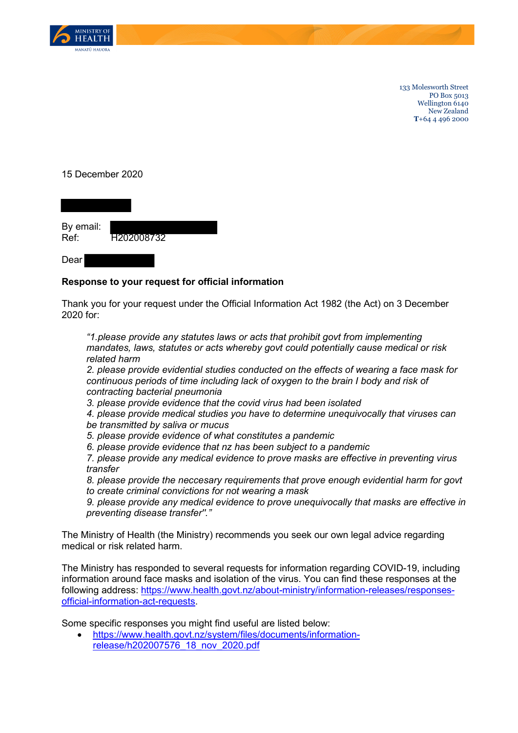

133 Molesworth Street PO Box 5013 Wellington 6140 New Zealand **T**+64 4 496 2000

## 15 December 2020



## Dear

## **Response to your request for official information**

Thank you for your request under the Official Information Act 1982 (the Act) on 3 December 2020 for:

*"1.please provide any statutes laws or acts that prohibit govt from implementing mandates, laws, statutes or acts whereby govt could potentially cause medical or risk related harm*

*2. please provide evidential studies conducted on the effects of wearing a face mask for continuous periods of time including lack of oxygen to the brain I body and risk of contracting bacterial pneumonia*

*3. please provide evidence that the covid virus had been isolated*

*4. please provide medical studies you have to determine unequivocally that viruses can be transmitted by saliva or mucus*

*5. please provide evidence of what constitutes a pandemic*

*6. please provide evidence that nz has been subject to a pandemic*

*7. please provide any medical evidence to prove masks are effective in preventing virus transfer*

*8. please provide the neccesary requirements that prove enough evidential harm for govt to create criminal convictions for not wearing a mask*

*9. please provide any medical evidence to prove unequivocally that masks are effective in preventing disease transfer''."*

The Ministry of Health (the Ministry) recommends you seek our own legal advice regarding medical or risk related harm.

The Ministry has responded to several requests for information regarding COVID-19, including information around face masks and isolation of the virus. You can find these responses at the following address: [https://www.health.govt.nz/about-ministry/information-releases/responses](https://www.health.govt.nz/about-ministry/information-releases/responses-official-information-act-requests)[official-information-act-requests.](https://www.health.govt.nz/about-ministry/information-releases/responses-official-information-act-requests)

Some specific responses you might find useful are listed below:

• [https://www.health.govt.nz/system/files/documents/information](https://www.health.govt.nz/system/files/documents/information-release/h202007576_18_nov_2020.pdf)[release/h202007576\\_18\\_nov\\_2020.pdf](https://www.health.govt.nz/system/files/documents/information-release/h202007576_18_nov_2020.pdf)